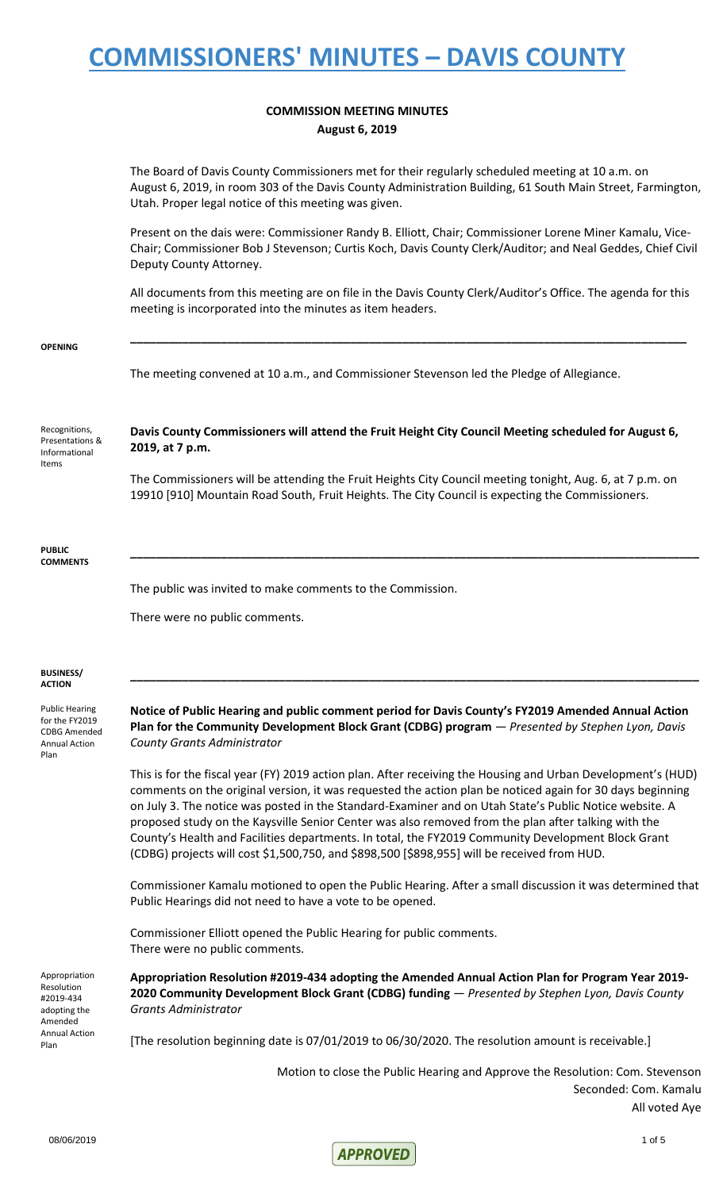### **COMMISSION MEETING MINUTES August 6, 2019**

The Board of Davis County Commissioners met for their regularly scheduled meeting at 10 a.m. on August 6, 2019, in room 303 of the Davis County Administration Building, 61 South Main Street, Farmington, Utah. Proper legal notice of this meeting was given.

Present on the dais were: Commissioner Randy B. Elliott, Chair; Commissioner Lorene Miner Kamalu, Vice-Chair; Commissioner Bob J Stevenson; Curtis Koch, Davis County Clerk/Auditor; and Neal Geddes, Chief Civil Deputy County Attorney.

All documents from this meeting are on file in the Davis County Clerk/Auditor's Office. The agenda for this meeting is incorporated into the minutes as item headers.

**\_\_\_\_\_\_\_\_\_\_\_\_\_\_\_\_\_\_\_\_\_\_\_\_\_\_\_\_\_\_\_\_\_\_\_\_\_\_\_\_\_\_\_\_\_\_\_\_\_\_\_\_\_\_\_\_\_\_\_\_\_\_\_\_\_\_\_\_\_\_\_\_\_\_\_\_\_\_\_\_\_\_\_\_\_\_**

### **OPENING**

The meeting convened at 10 a.m., and Commissioner Stevenson led the Pledge of Allegiance.

Recognitions, Presentations & Informational Items

**Davis County Commissioners will attend the Fruit Height City Council Meeting scheduled for August 6, 2019, at 7 p.m.**

The Commissioners will be attending the Fruit Heights City Council meeting tonight, Aug. 6, at 7 p.m. on 19910 [910] Mountain Road South, Fruit Heights. The City Council is expecting the Commissioners.

**\_\_\_\_\_\_\_\_\_\_\_\_\_\_\_\_\_\_\_\_\_\_\_\_\_\_\_\_\_\_\_\_\_\_\_\_\_\_\_\_\_\_\_\_\_\_\_\_\_\_\_\_\_\_\_\_\_\_\_\_\_\_\_\_\_\_\_\_\_\_\_\_\_\_\_\_\_\_\_\_\_\_\_\_\_\_\_\_**

#### **PUBLIC COMMENTS**

The public was invited to make comments to the Commission.

There were no public comments.

#### **BUSINESS/ ACTION**

Public Hearing for the FY2019 CDBG Amended Annual Action Plan

**Notice of Public Hearing and public comment period for Davis County's FY2019 Amended Annual Action Plan for the Community Development Block Grant (CDBG) program** — *Presented by Stephen Lyon, Davis County Grants Administrator*

**\_\_\_\_\_\_\_\_\_\_\_\_\_\_\_\_\_\_\_\_\_\_\_\_\_\_\_\_\_\_\_\_\_\_\_\_\_\_\_\_\_\_\_\_\_\_\_\_\_\_\_\_\_\_\_\_\_\_\_\_\_\_\_\_\_\_\_\_\_\_\_\_\_\_\_\_\_\_\_\_\_\_\_\_\_\_\_\_**

This is for the fiscal year (FY) 2019 action plan. After receiving the Housing and Urban Development's (HUD) comments on the original version, it was requested the action plan be noticed again for 30 days beginning on July 3. The notice was posted in the Standard-Examiner and on Utah State's Public Notice website. A proposed study on the Kaysville Senior Center was also removed from the plan after talking with the County's Health and Facilities departments. In total, the FY2019 Community Development Block Grant (CDBG) projects will cost \$1,500,750, and \$898,500 [\$898,955] will be received from HUD.

Commissioner Kamalu motioned to open the Public Hearing. After a small discussion it was determined that Public Hearings did not need to have a vote to be opened.

Commissioner Elliott opened the Public Hearing for public comments. There were no public comments.

Appropriation Resolution #2019-434 adopting the Amended Annual Action Plan

**Appropriation Resolution #2019-434 adopting the Amended Annual Action Plan for Program Year 2019- 2020 Community Development Block Grant (CDBG) funding** — *Presented by Stephen Lyon, Davis County Grants Administrator*

[The resolution beginning date is 07/01/2019 to 06/30/2020. The resolution amount is receivable.]

Motion to close the Public Hearing and Approve the Resolution: Com. Stevenson Seconded: Com. Kamalu All voted Aye

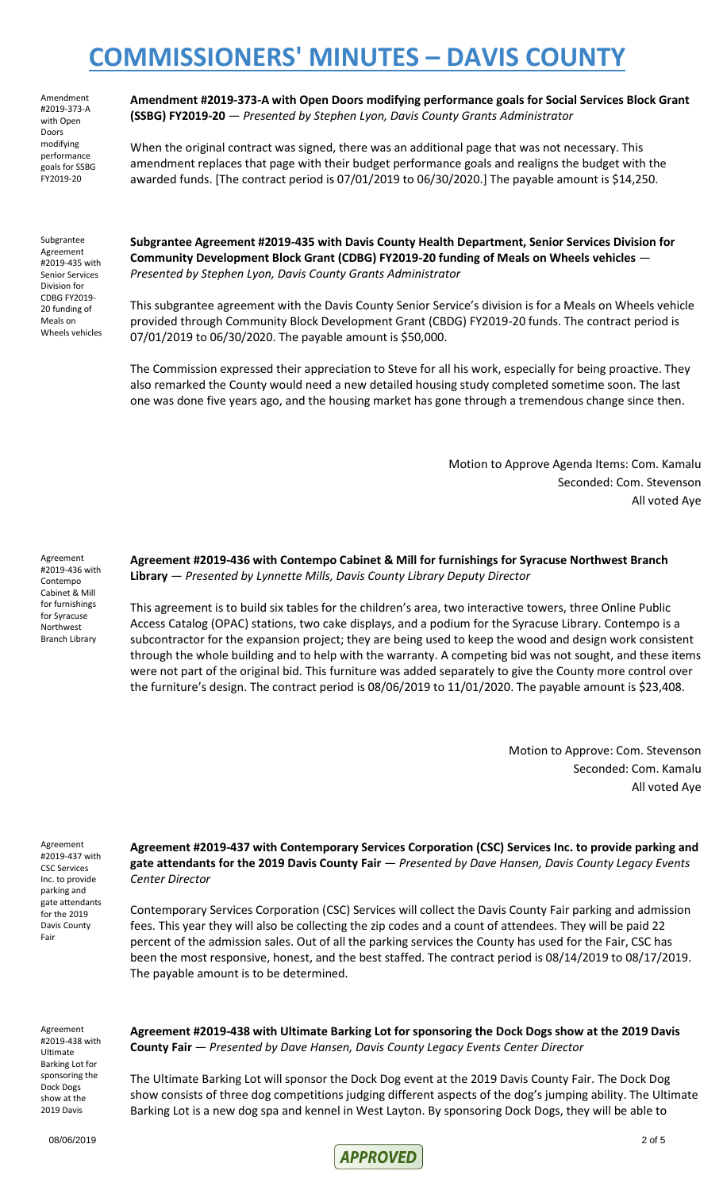Amendment #2019-373-A with Open Doors modifying performance goals for SSBG FY2019-20

**Amendment #2019-373-A with Open Doors modifying performance goals for Social Services Block Grant (SSBG) FY2019-20** — *Presented by Stephen Lyon, Davis County Grants Administrator*

When the original contract was signed, there was an additional page that was not necessary. This amendment replaces that page with their budget performance goals and realigns the budget with the awarded funds. [The contract period is 07/01/2019 to 06/30/2020.] The payable amount is \$14,250.

Subgrantee Agreement #2019-435 with Senior Services Division for CDBG FY2019- 20 funding of Meals on Wheels vehicles **Subgrantee Agreement #2019-435 with Davis County Health Department, Senior Services Division for Community Development Block Grant (CDBG) FY2019-20 funding of Meals on Wheels vehicles** — *Presented by Stephen Lyon, Davis County Grants Administrator*

This subgrantee agreement with the Davis County Senior Service's division is for a Meals on Wheels vehicle provided through Community Block Development Grant (CBDG) FY2019-20 funds. The contract period is 07/01/2019 to 06/30/2020. The payable amount is \$50,000.

The Commission expressed their appreciation to Steve for all his work, especially for being proactive. They also remarked the County would need a new detailed housing study completed sometime soon. The last one was done five years ago, and the housing market has gone through a tremendous change since then.

> Motion to Approve Agenda Items: Com. Kamalu Seconded: Com. Stevenson All voted Aye

Agreement #2019-436 with Contempo Cabinet & Mill for furnishings for Syracuse Northwest Branch Library

**Agreement #2019-436 with Contempo Cabinet & Mill for furnishings for Syracuse Northwest Branch Library** — *Presented by Lynnette Mills, Davis County Library Deputy Director*

This agreement is to build six tables for the children's area, two interactive towers, three Online Public Access Catalog (OPAC) stations, two cake displays, and a podium for the Syracuse Library. Contempo is a subcontractor for the expansion project; they are being used to keep the wood and design work consistent through the whole building and to help with the warranty. A competing bid was not sought, and these items were not part of the original bid. This furniture was added separately to give the County more control over the furniture's design. The contract period is 08/06/2019 to 11/01/2020. The payable amount is \$23,408.

> Motion to Approve: Com. Stevenson Seconded: Com. Kamalu All voted Aye

Agreement #2019-437 with CSC Services Inc. to provide parking and gate attendants for the 2019 Davis County Fair

**Agreement #2019-437 with Contemporary Services Corporation (CSC) Services Inc. to provide parking and gate attendants for the 2019 Davis County Fair** — *Presented by Dave Hansen, Davis County Legacy Events Center Director*

Contemporary Services Corporation (CSC) Services will collect the Davis County Fair parking and admission fees. This year they will also be collecting the zip codes and a count of attendees. They will be paid 22 percent of the admission sales. Out of all the parking services the County has used for the Fair, CSC has been the most responsive, honest, and the best staffed. The contract period is 08/14/2019 to 08/17/2019. The payable amount is to be determined.

Agreement #2019-438 with Ultimate Barking Lot for sponsoring the Dock Dogs show at the 2019 Davis

**Agreement #2019-438 with Ultimate Barking Lot for sponsoring the Dock Dogs show at the 2019 Davis County Fair** — *Presented by Dave Hansen, Davis County Legacy Events Center Director*

The Ultimate Barking Lot will sponsor the Dock Dog event at the 2019 Davis County Fair. The Dock Dog show consists of three dog competitions judging different aspects of the dog's jumping ability. The Ultimate Barking Lot is a new dog spa and kennel in West Layton. By sponsoring Dock Dogs, they will be able to

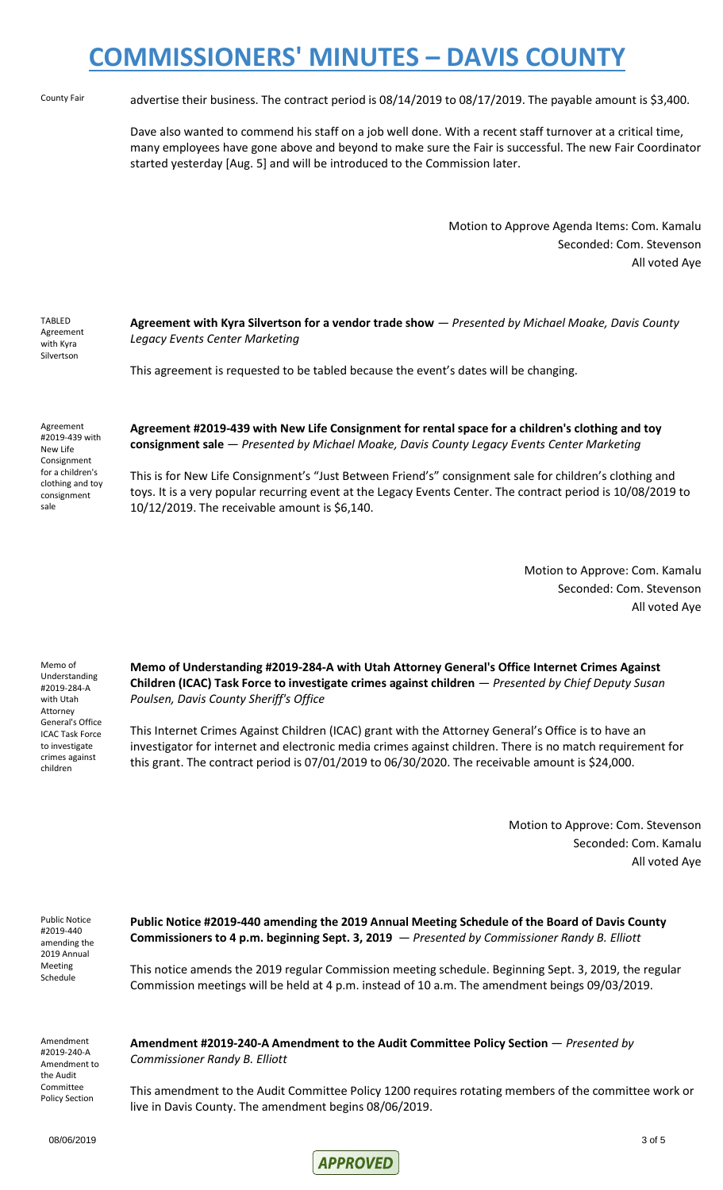County Fair advertise their business. The contract period is 08/14/2019 to 08/17/2019. The payable amount is \$3,400.

Dave also wanted to commend his staff on a job well done. With a recent staff turnover at a critical time, many employees have gone above and beyond to make sure the Fair is successful. The new Fair Coordinator started yesterday [Aug. 5] and will be introduced to the Commission later.

> Motion to Approve Agenda Items: Com. Kamalu Seconded: Com. Stevenson All voted Aye

| TABLED<br>Agreement<br>with Kyra<br>Silvertson | Agreement with Kyra Silvertson for a vendor trade show - Presented by Michael Moake,<br>Legacy Events Center Marketing |
|------------------------------------------------|------------------------------------------------------------------------------------------------------------------------|
|                                                | This agreement is requested to be tabled because the event's dates will be changing.                                   |

Agreement #2019-439 with New Life Consignment for a children's clothing and toy consignment sale

**Agreement #2019-439 with New Life Consignment for rental space for a children's clothing and toy consignment sale** — *Presented by Michael Moake, Davis County Legacy Events Center Marketing*

This is for New Life Consignment's "Just Between Friend's" consignment sale for children's clothing and toys. It is a very popular recurring event at the Legacy Events Center. The contract period is 10/08/2019 to 10/12/2019. The receivable amount is \$6,140.

> Motion to Approve: Com. Kamalu Seconded: Com. Stevenson All voted Aye

*Davis County* 

Memo of Understanding #2019-284-A with Utah Attorney General's Office ICAC Task Force to investigate crimes against children

**Memo of Understanding #2019-284-A with Utah Attorney General's Office Internet Crimes Against Children (ICAC) Task Force to investigate crimes against children** — *Presented by Chief Deputy Susan Poulsen, Davis County Sheriff's Office*

This Internet Crimes Against Children (ICAC) grant with the Attorney General's Office is to have an investigator for internet and electronic media crimes against children. There is no match requirement for this grant. The contract period is 07/01/2019 to 06/30/2020. The receivable amount is \$24,000.

> Motion to Approve: Com. Stevenson Seconded: Com. Kamalu All voted Aye

| Public Notice |  |  |
|---------------|--|--|
| #2019-440     |  |  |
| amending the  |  |  |
| 2019 Annual   |  |  |
| Meeting       |  |  |
| Schedule      |  |  |
|               |  |  |

**Public Notice #2019-440 amending the 2019 Annual Meeting Schedule of the Board of Davis County Commissioners to 4 p.m. beginning Sept. 3, 2019** — *Presented by Commissioner Randy B. Elliott*

This notice amends the 2019 regular Commission meeting schedule. Beginning Sept. 3, 2019, the regular Commission meetings will be held at 4 p.m. instead of 10 a.m. The amendment beings 09/03/2019.

Amendment #2019-240-A Amendment to the Audit Committee Policy Section

**Amendment #2019-240-A Amendment to the Audit Committee Policy Section** — *Presented by Commissioner Randy B. Elliott*

This amendment to the Audit Committee Policy 1200 requires rotating members of the committee work or live in Davis County. The amendment begins 08/06/2019.

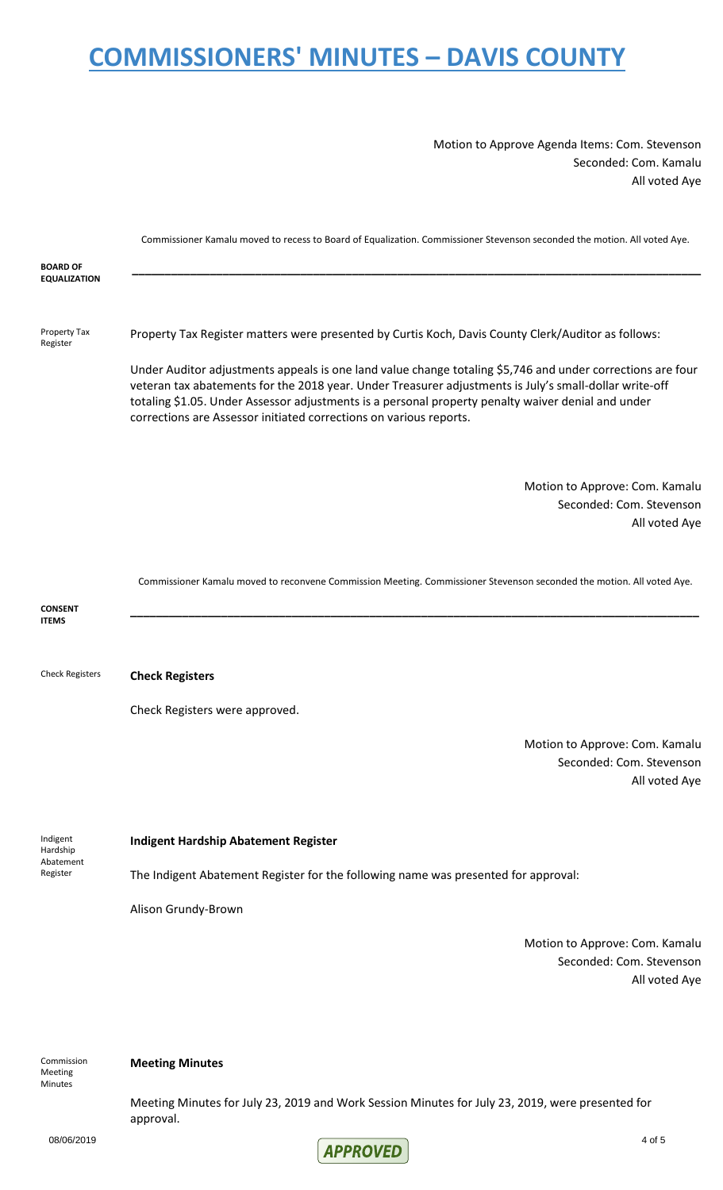Motion to Approve Agenda Items: Com. Stevenson Seconded: Com. Kamalu All voted Aye

|                                               | Commissioner Kamalu moved to recess to Board of Equalization. Commissioner Stevenson seconded the motion. All voted Aye.                                                                                                                                                                                                                                                                         |
|-----------------------------------------------|--------------------------------------------------------------------------------------------------------------------------------------------------------------------------------------------------------------------------------------------------------------------------------------------------------------------------------------------------------------------------------------------------|
| <b>BOARD OF</b><br><b>EQUALIZATION</b>        |                                                                                                                                                                                                                                                                                                                                                                                                  |
| Property Tax<br>Register                      | Property Tax Register matters were presented by Curtis Koch, Davis County Clerk/Auditor as follows:                                                                                                                                                                                                                                                                                              |
|                                               | Under Auditor adjustments appeals is one land value change totaling \$5,746 and under corrections are four<br>veteran tax abatements for the 2018 year. Under Treasurer adjustments is July's small-dollar write-off<br>totaling \$1.05. Under Assessor adjustments is a personal property penalty waiver denial and under<br>corrections are Assessor initiated corrections on various reports. |
|                                               | Motion to Approve: Com. Kamalu<br>Seconded: Com. Stevenson<br>All voted Aye                                                                                                                                                                                                                                                                                                                      |
|                                               | Commissioner Kamalu moved to reconvene Commission Meeting. Commissioner Stevenson seconded the motion. All voted Aye.                                                                                                                                                                                                                                                                            |
| <b>CONSENT</b><br><b>ITEMS</b>                |                                                                                                                                                                                                                                                                                                                                                                                                  |
| <b>Check Registers</b>                        | <b>Check Registers</b>                                                                                                                                                                                                                                                                                                                                                                           |
|                                               | Check Registers were approved.                                                                                                                                                                                                                                                                                                                                                                   |
|                                               | Motion to Approve: Com. Kamalu<br>Seconded: Com. Stevenson<br>All voted Aye                                                                                                                                                                                                                                                                                                                      |
| Indigent<br>Hardship<br>Abatement<br>Register | <b>Indigent Hardship Abatement Register</b>                                                                                                                                                                                                                                                                                                                                                      |
|                                               | The Indigent Abatement Register for the following name was presented for approval:                                                                                                                                                                                                                                                                                                               |
|                                               | Alison Grundy-Brown                                                                                                                                                                                                                                                                                                                                                                              |
|                                               | Motion to Approve: Com. Kamalu<br>Seconded: Com. Stevenson<br>All voted Aye                                                                                                                                                                                                                                                                                                                      |
| Commission<br>Meeting                         | <b>Meeting Minutes</b>                                                                                                                                                                                                                                                                                                                                                                           |

Meeting Minutes for July 23, 2019 and Work Session Minutes for July 23, 2019, were presented for approval.

**Minutes**